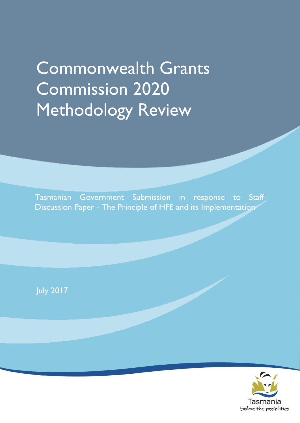# Commonwealth Grants Commission 2020 Methodology Review

Tasmanian Government Submission in response to Staff Discussion Paper - The Principle of HFE and its Implementation

July 2017

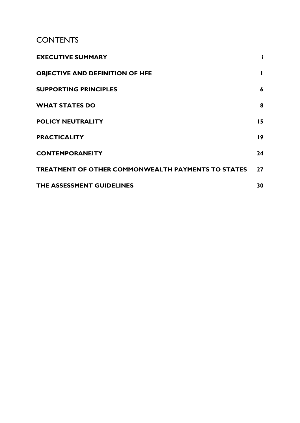# **CONTENTS**

<span id="page-2-0"></span>

| <b>EXECUTIVE SUMMARY</b>                                  |    |
|-----------------------------------------------------------|----|
| <b>OBJECTIVE AND DEFINITION OF HFE</b>                    |    |
| <b>SUPPORTING PRINCIPLES</b>                              | 6  |
| <b>WHAT STATES DO</b>                                     | 8  |
| <b>POLICY NEUTRALITY</b>                                  | 15 |
| <b>PRACTICALITY</b>                                       | 19 |
| <b>CONTEMPORANEITY</b>                                    | 24 |
| <b>TREATMENT OF OTHER COMMONWEALTH PAYMENTS TO STATES</b> | 27 |
| THE ASSESSMENT GUIDELINES                                 | 30 |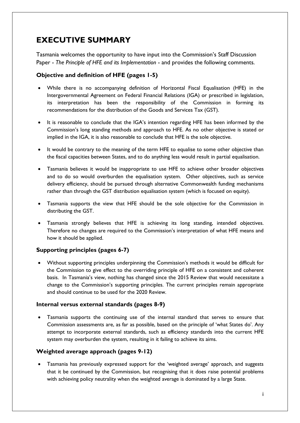# **EXECUTIVE SUMMARY**

Tasmania welcomes the opportunity to have input into the Commission's Staff Discussion Paper - *The Principle of HFE and its Implementation* - and provides the following comments.

# **Objective and definition of HFE (pages 1-5)**

- While there is no accompanying definition of Horizontal Fiscal Equalisation (HFE) in the Intergovernmental Agreement on Federal Financial Relations (IGA) or prescribed in legislation, its interpretation has been the responsibility of the Commission in forming its recommendations for the distribution of the Goods and Services Tax (GST).
- It is reasonable to conclude that the IGA's intention regarding HFE has been informed by the Commission's long standing methods and approach to HFE. As no other objective is stated or implied in the IGA, it is also reasonable to conclude that HFE is the sole objective.
- It would be contrary to the meaning of the term HFE to equalise to some other objective than the fiscal capacities between States, and to do anything less would result in partial equalisation.
- Tasmania believes it would be inappropriate to use HFE to achieve other broader objectives and to do so would overburden the equalisation system. Other objectives, such as service delivery efficiency, should be pursued through alternative Commonwealth funding mechanisms rather than through the GST distribution equalisation system (which is focused on equity).
- Tasmania supports the view that HFE should be the sole objective for the Commission in distributing the GST.
- Tasmania strongly believes that HFE is achieving its long standing, intended objectives. Therefore no changes are required to the Commission's interpretation of what HFE means and how it should be applied.

# **Supporting principles (pages 6-7)**

 Without supporting principles underpinning the Commission's methods it would be difficult for the Commission to give effect to the overriding principle of HFE on a consistent and coherent basis. In Tasmania's view, nothing has changed since the 2015 Review that would necessitate a change to the Commission's supporting principles. The current principles remain appropriate and should continue to be used for the 2020 Review.

# **Internal versus external standards (pages 8-9)**

 Tasmania supports the continuing use of the internal standard that serves to ensure that Commission assessments are, as far as possible, based on the principle of 'what States do'. Any attempt to incorporate external standards, such as efficiency standards into the current HFE system may overburden the system, resulting in it failing to achieve its aims.

# **Weighted average approach (pages 9-12)**

 Tasmania has previously expressed support for the 'weighted average' approach, and suggests that it be continued by the Commission, but recognising that it does raise potential problems with achieving policy neutrality when the weighted average is dominated by a large State.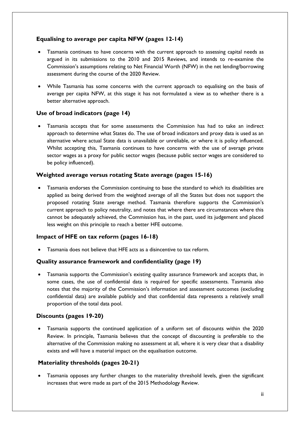# **Equalising to average per capita NFW (pages 12-14)**

- Tasmania continues to have concerns with the current approach to assessing capital needs as argued in its submissions to the 2010 and 2015 Reviews, and intends to re-examine the Commission's assumptions relating to Net Financial Worth (NFW) in the net lending/borrowing assessment during the course of the 2020 Review.
- While Tasmania has some concerns with the current approach to equalising on the basis of average per capita NFW, at this stage it has not formulated a view as to whether there is a better alternative approach.

# **Use of broad indicators (page 14)**

 Tasmania accepts that for some assessments the Commission has had to take an indirect approach to determine what States do. The use of broad indicators and proxy data is used as an alternative where actual State data is unavailable or unreliable, or where it is policy influenced. Whilst accepting this, Tasmania continues to have concerns with the use of average private sector wages as a proxy for public sector wages (because public sector wages are considered to be policy influenced).

# **Weighted average versus rotating State average (pages 15-16)**

 Tasmania endorses the Commission continuing to base the standard to which its disabilities are applied as being derived from the weighted average of all the States but does not support the proposed rotating State average method. Tasmania therefore supports the Commission's current approach to policy neutrality, and notes that where there are circumstances where this cannot be adequately achieved, the Commission has, in the past, used its judgement and placed less weight on this principle to reach a better HFE outcome.

# **Impact of HFE on tax reform (pages 16-18)**

Tasmania does not believe that HFE acts as a disincentive to tax reform.

# **Quality assurance framework and confidentiality (page 19)**

 Tasmania supports the Commission's existing quality assurance framework and accepts that, in some cases, the use of confidential data is required for specific assessments. Tasmania also notes that the majority of the Commission's information and assessment outcomes (excluding confidential data) are available publicly and that confidential data represents a relatively small proportion of the total data pool.

# **Discounts (pages 19-20)**

 Tasmania supports the continued application of a uniform set of discounts within the 2020 Review. In principle, Tasmania believes that the concept of discounting is preferable to the alternative of the Commission making no assessment at all, where it is very clear that a disability exists and will have a material impact on the equalisation outcome.

# **Materiality thresholds (pages 20-21)**

 Tasmania opposes any further changes to the materiality threshold levels, given the significant increases that were made as part of the 2015 Methodology Review.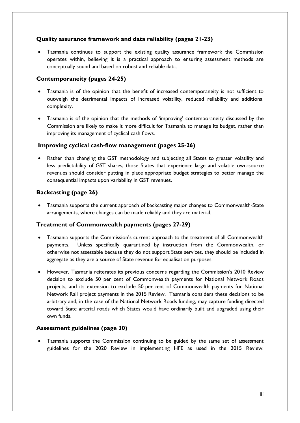# **Quality assurance framework and data reliability (pages 21-23)**

 Tasmania continues to support the existing quality assurance framework the Commission operates within, believing it is a practical approach to ensuring assessment methods are conceptually sound and based on robust and reliable data.

# **Contemporaneity (pages 24-25)**

- Tasmania is of the opinion that the benefit of increased contemporaneity is not sufficient to outweigh the detrimental impacts of increased volatility, reduced reliability and additional complexity.
- Tasmania is of the opinion that the methods of 'improving' contemporaneity discussed by the Commission are likely to make it more difficult for Tasmania to manage its budget, rather than improving its management of cyclical cash flows.

### **Improving cyclical cash-flow management (pages 25-26)**

 Rather than changing the GST methodology and subjecting all States to greater volatility and less predictability of GST shares, those States that experience large and volatile own-source revenues should consider putting in place appropriate budget strategies to better manage the consequential impacts upon variability in GST revenues.

# **Backcasting (page 26)**

 Tasmania supports the current approach of backcasting major changes to Commonwealth-State arrangements, where changes can be made reliably and they are material.

# **Treatment of Commonwealth payments (pages 27-29)**

- Tasmania supports the Commission's current approach to the treatment of all Commonwealth payments. Unless specifically quarantined by instruction from the Commonwealth, or otherwise not assessable because they do not support State services, they should be included in aggregate as they are a source of State revenue for equalisation purposes.
- However, Tasmania reiterates its previous concerns regarding the Commission's 2010 Review decision to exclude 50 per cent of Commonwealth payments for National Network Roads projects, and its extension to exclude 50 per cent of Commonwealth payments for National Network Rail project payments in the 2015 Review. Tasmania considers these decisions to be arbitrary and, in the case of the National Network Roads funding, may capture funding directed toward State arterial roads which States would have ordinarily built and upgraded using their own funds.

# **Assessment guidelines (page 30)**

<span id="page-6-0"></span> Tasmania supports the Commission continuing to be guided by the same set of assessment guidelines for the 2020 Review in implementing HFE as used in the 2015 Review.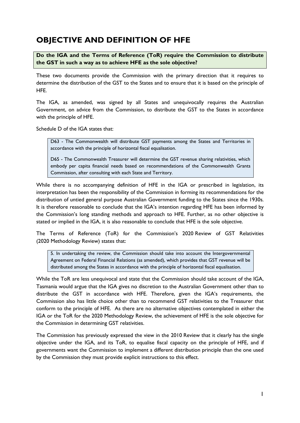# **OBJECTIVE AND DEFINITION OF HFE**

**Do the IGA and the Terms of Reference (ToR) require the Commission to distribute the GST in such a way as to achieve HFE as the sole objective?**

These two documents provide the Commission with the primary direction that it requires to determine the distribution of the GST to the States and to ensure that it is based on the principle of HFE.

The IGA, as amended, was signed by all States and unequivocally requires the Australian Government, on advice from the Commission, to distribute the GST to the States in accordance with the principle of HFE.

Schedule D of the IGA states that:

D63 - The Commonwealth will distribute GST payments among the States and Territories in accordance with the principle of horizontal fiscal equalisation.

D65 - The Commonwealth Treasurer will determine the GST revenue sharing relativities, which embody per capita financial needs based on recommendations of the Commonwealth Grants Commission, after consulting with each State and Territory.

While there is no accompanying definition of HFE in the IGA or prescribed in legislation, its interpretation has been the responsibility of the Commission in forming its recommendations for the distribution of untied general purpose Australian Government funding to the States since the 1930s. It is therefore reasonable to conclude that the IGA's intention regarding HFE has been informed by the Commission's long standing methods and approach to HFE. Further, as no other objective is stated or implied in the IGA, it is also reasonable to conclude that HFE is the sole objective.

The Terms of Reference (ToR) for the Commission's 2020 Review of GST Relativities (2020 Methodology Review) states that:

5. In undertaking the review, the Commission should take into account the Intergovernmental Agreement on Federal Financial Relations (as amended), which provides that GST revenue will be distributed among the States in accordance with the principle of horizontal fiscal equalisation.

While the ToR are less unequivocal and state that the Commission should take account of the IGA, Tasmania would argue that the IGA gives no discretion to the Australian Government other than to distribute the GST in accordance with HFE. Therefore, given the IGA's requirements, the Commission also has little choice other than to recommend GST relativities to the Treasurer that conform to the principle of HFE. As there are no alternative objectives contemplated in either the IGA or the ToR for the 2020 Methodology Review, the achievement of HFE is the sole objective for the Commission in determining GST relativities.

The Commission has previously expressed the view in the 2010 Review that it clearly has the single objective under the IGA, and its ToR, to equalise fiscal capacity on the principle of HFE, and if governments want the Commission to implement a different distribution principle than the one used by the Commission they must provide explicit instructions to this effect.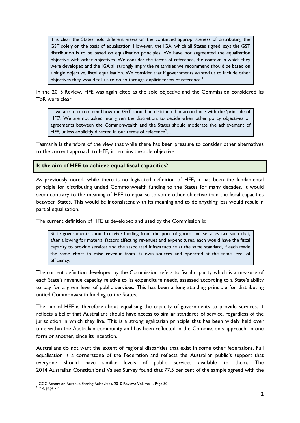It is clear the States hold different views on the continued appropriateness of distributing the GST solely on the basis of equalisation. However, the IGA, which all States signed, says the GST distribution is to be based on equalisation principles. We have not augmented the equalisation objective with other objectives. We consider the terms of reference, the context in which they were developed and the IGA all strongly imply the relativities we recommend should be based on a single objective, fiscal equalisation. We consider that if governments wanted us to include other objectives they would tell us to do so through explicit terms of reference.<sup>1</sup>

In the 2015 Review, HFE was again cited as the sole objective and the Commission considered its ToR were clear:

…we are to recommend how the GST should be distributed in accordance with the 'principle of HFE'. We are not asked, nor given the discretion, to decide when other policy objectives or agreements between the Commonwealth and the States should moderate the achievement of HFE, unless explicitly directed in our terms of reference<sup>2</sup>...

Tasmania is therefore of the view that while there has been pressure to consider other alternatives to the current approach to HFE, it remains the sole objective.

### **Is the aim of HFE to achieve equal fiscal capacities?**

As previously noted, while there is no legislated definition of HFE, it has been the fundamental principle for distributing untied Commonwealth funding to the States for many decades. It would seem contrary to the meaning of HFE to equalise to some other objective than the fiscal capacities between States. This would be inconsistent with its meaning and to do anything less would result in partial equalisation.

The current definition of HFE as developed and used by the Commission is:

State governments should receive funding from the pool of goods and services tax such that, after allowing for material factors affecting revenues and expenditures, each would have the fiscal capacity to provide services and the associated infrastructure at the same standard, if each made the same effort to raise revenue from its own sources and operated at the same level of efficiency.

The current definition developed by the Commission refers to fiscal capacity which is a measure of each State's revenue capacity relative to its expenditure needs, assessed according to a State's ability to pay for a given level of public services. This has been a long standing principle for distributing untied Commonwealth funding to the States.

The aim of HFE is therefore about equalising the capacity of governments to provide services. It reflects a belief that Australians should have access to similar standards of service, regardless of the jurisdiction in which they live. This is a strong egalitarian principle that has been widely held over time within the Australian community and has been reflected in the Commission's approach, in one form or another, since its inception.

Australians do not want the extent of regional disparities that exist in some other federations. Full equalisation is a cornerstone of the Federation and reflects the Australian public's support that everyone should have similar levels of public services available to them. The 2014 Australian Constitutional Values Survey found that 77.5 per cent of the sample agreed with the

1

<sup>&</sup>lt;sup>1</sup> CGC Report on Revenue Sharing Relativities, 2010 Review: Volume 1. Page 30.

<sup>2</sup> *ibid*, page 29.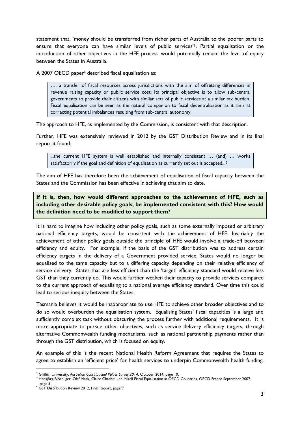statement that, 'money should be transferred from richer parts of Australia to the poorer parts to ensure that everyone can have similar levels of public services' <sup>3</sup>. Partial equalisation or the introduction of other objectives in the HFE process would potentially reduce the level of equity between the States in Australia.

A 2007 OECD paper<sup>4</sup> described fiscal equalisation as:

…. a transfer of fiscal resources across jurisdictions with the aim of offsetting differences in revenue raising capacity or public service cost. Its principal objective is to allow sub-central governments to provide their citizens with similar sets of public services at a similar tax burden. Fiscal equalisation can be seen as the natural companion to fiscal decentralisation as it aims at correcting potential imbalances resulting from sub-central autonomy.

The approach to HFE, as implemented by the Commission, is consistent with that description.

Further, HFE was extensively reviewed in 2012 by the GST Distribution Review and in its final report it found:

...the current HFE system is well established and internally consistent … (and) … works satisfactorily if the goal and definition of equalisation as currently set out is accepted...<sup>5</sup>

The aim of HFE has therefore been the achievement of equalisation of fiscal capacity between the States and the Commission has been effective in achieving that aim to date.

**If it is, then, how would different approaches to the achievement of HFE, such as including other desirable policy goals, be implemented consistent with this? How would the definition need to be modified to support them?**

It is hard to imagine how including other policy goals, such as some externally imposed or arbitrary national efficiency targets, would be consistent with the achievement of HFE. Invariably the achievement of other policy goals outside the principle of HFE would involve a trade-off between efficiency and equity. For example, if the basis of the GST distribution was to address certain efficiency targets in the delivery of a Government provided service, States would no longer be equalised to the same capacity but to a differing capacity depending on their relative efficiency of service delivery. States that are less efficient than the 'target' efficiency standard would receive less GST than they currently do. This would further weaken their capacity to provide services compared to the current approach of equalising to a national average efficiency standard. Over time this could lead to serious inequity between the States.

Tasmania believes it would be inappropriate to use HFE to achieve other broader objectives and to do so would overburden the equalisation system. Equalising States' fiscal capacities is a large and sufficiently complex task without obscuring the process further with additional requirements. It is more appropriate to pursue other objectives, such as service delivery efficiency targets, through alternative Commonwealth funding mechanisms, such as national partnership payments rather than through the GST distribution, which is focused on equity.

An example of this is the recent National Health Reform Agreement that requires the States to agree to establish an 'efficient price' for health services to underpin Commonwealth health funding.

<u>.</u>

<sup>3</sup> Griffith University, *Australian Constitutional Values Survey 2014*, October 2014, page 10.

<sup>4</sup> Hansjörg Blöchliger, Olaf Merk, Claire Charbit, Lee Mizell Fiscal Equalisation in OECD Countries, OECD France September 2007, page 5.

<sup>5</sup> GST Distribution Review 2012, Final Report, page 9.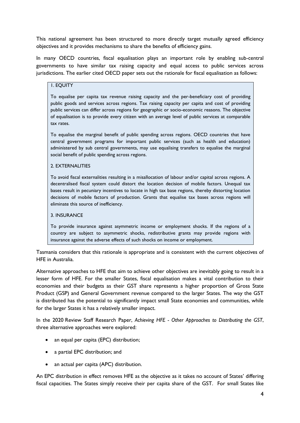This national agreement has been structured to more directly target mutually agreed efficiency objectives and it provides mechanisms to share the benefits of efficiency gains.

In many OECD countries, fiscal equalisation plays an important role by enabling sub-central governments to have similar tax raising capacity and equal access to public services across jurisdictions. The earlier cited OECD paper sets out the rationale for fiscal equalisation as follows:

### 1. EQUITY

To equalise per capita tax revenue raising capacity and the per-beneficiary cost of providing public goods and services across regions. Tax raising capacity per capita and cost of providing public services can differ across regions for geographic or socio-economic reasons. The objective of equalisation is to provide every citizen with an average level of public services at comparable tax rates.

To equalise the marginal benefit of public spending across regions. OECD countries that have central government programs for important public services (such as health and education) administered by sub central governments, may use equalising transfers to equalise the marginal social benefit of public spending across regions.

### 2. EXTERNALITIES

To avoid fiscal externalities resulting in a misallocation of labour and/or capital across regions. A decentralised fiscal system could distort the location decision of mobile factors. Unequal tax bases result in pecuniary incentives to locate in high tax base regions, thereby distorting location decisions of mobile factors of production. Grants that equalise tax bases across regions will eliminate this source of inefficiency.

#### 3. INSURANCE

To provide insurance against asymmetric income or employment shocks. If the regions of a country are subject to asymmetric shocks, redistributive grants may provide regions with insurance against the adverse effects of such shocks on income or employment.

Tasmania considers that this rationale is appropriate and is consistent with the current objectives of HFE in Australia.

Alternative approaches to HFE that aim to achieve other objectives are inevitably going to result in a lesser form of HFE. For the smaller States, fiscal equalisation makes a vital contribution to their economies and their budgets as their GST share represents a higher proportion of Gross State Product (GSP) and General Government revenue compared to the larger States. The way the GST is distributed has the potential to significantly impact small State economies and communities, while for the larger States it has a relatively smaller impact.

In the 2020 Review Staff Research Paper, *Achieving HFE - Other Approaches to Distributing the GST*, three alternative approaches were explored:

- an equal per capita (EPC) distribution;
- a partial EPC distribution; and
- an actual per capita (APC) distribution.

An EPC distribution in effect removes HFE as the objective as it takes no account of States' differing fiscal capacities. The States simply receive their per capita share of the GST. For small States like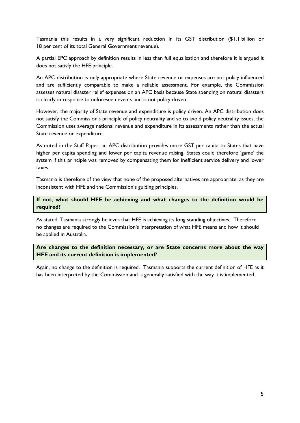Tasmania this results in a very significant reduction in its GST distribution (\$1.1 billion or 18 per cent of its total General Government revenue).

A partial EPC approach by definition results in less than full equalisation and therefore it is argued it does not satisfy the HFE principle.

An APC distribution is only appropriate where State revenue or expenses are not policy influenced and are sufficiently comparable to make a reliable assessment. For example, the Commission assesses natural disaster relief expenses on an APC basis because State spending on natural disasters is clearly in response to unforeseen events and is not policy driven.

However, the majority of State revenue and expenditure is policy driven. An APC distribution does not satisfy the Commission's principle of policy neutrality and so to avoid policy neutrality issues, the Commission uses average national revenue and expenditure in its assessments rather than the actual State revenue or expenditure.

As noted in the Staff Paper, an APC distribution provides more GST per capita to States that have higher per capita spending and lower per capita revenue raising. States could therefore 'game' the system if this principle was removed by compensating them for inefficient service delivery and lower taxes.

Tasmania is therefore of the view that none of the proposed alternatives are appropriate, as they are inconsistent with HFE and the Commission's guiding principles.

**If not, what should HFE be achieving and what changes to the definition would be required?**

As stated, Tasmania strongly believes that HFE is achieving its long standing objectives. Therefore no changes are required to the Commission's interpretation of what HFE means and how it should be applied in Australia.

**Are changes to the definition necessary, or are State concerns more about the way HFE and its current definition is implemented?**

Again, no change to the definition is required. Tasmania supports the current definition of HFE as it has been interpreted by the Commission and is generally satisfied with the way it is implemented.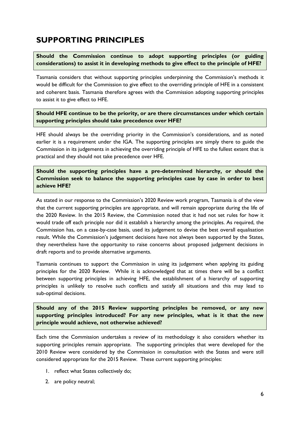# <span id="page-13-0"></span>**SUPPORTING PRINCIPLES**

**Should the Commission continue to adopt supporting principles (or guiding considerations) to assist it in developing methods to give effect to the principle of HFE?**

Tasmania considers that without supporting principles underpinning the Commission's methods it would be difficult for the Commission to give effect to the overriding principle of HFE in a consistent and coherent basis. Tasmania therefore agrees with the Commission adopting supporting principles to assist it to give effect to HFE.

**Should HFE continue to be the priority, or are there circumstances under which certain supporting principles should take precedence over HFE?**

HFE should always be the overriding priority in the Commission's considerations, and as noted earlier it is a requirement under the IGA. The supporting principles are simply there to guide the Commission in its judgements in achieving the overriding principle of HFE to the fullest extent that is practical and they should not take precedence over HFE.

**Should the supporting principles have a pre-determined hierarchy, or should the Commission seek to balance the supporting principles case by case in order to best achieve HFE?**

As stated in our response to the Commission's 2020 Review work program, Tasmania is of the view that the current supporting principles are appropriate, and will remain appropriate during the life of the 2020 Review. In the 2015 Review, the Commission noted that it had not set rules for how it would trade off each principle nor did it establish a hierarchy among the principles. As required, the Commission has, on a case-by-case basis, used its judgement to devise the best overall equalisation result. While the Commission's judgement decisions have not always been supported by the States, they nevertheless have the opportunity to raise concerns about proposed judgement decisions in draft reports and to provide alternative arguments.

Tasmania continues to support the Commission in using its judgement when applying its guiding principles for the 2020 Review. While it is acknowledged that at times there will be a conflict between supporting principles in achieving HFE, the establishment of a hierarchy of supporting principles is unlikely to resolve such conflicts and satisfy all situations and this may lead to sub-optimal decisions.

**Should any of the 2015 Review supporting principles be removed, or any new supporting principles introduced? For any new principles, what is it that the new principle would achieve, not otherwise achieved?**

Each time the Commission undertakes a review of its methodology it also considers whether its supporting principles remain appropriate. The supporting principles that were developed for the 2010 Review were considered by the Commission in consultation with the States and were still considered appropriate for the 2015 Review. These current supporting principles:

- 1. reflect what States collectively do;
- 2. are policy neutral;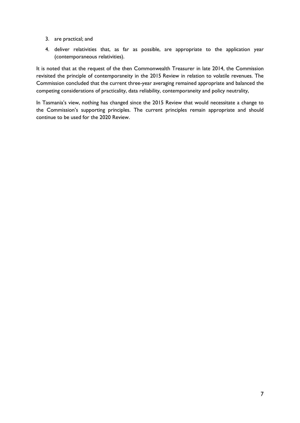- 3. are practical; and
- 4. deliver relativities that, as far as possible, are appropriate to the application year (contemporaneous relativities).

It is noted that at the request of the then Commonwealth Treasurer in late 2014, the Commission revisited the principle of contemporaneity in the 2015 Review in relation to volatile revenues. The Commission concluded that the current three-year averaging remained appropriate and balanced the competing considerations of practicality, data reliability, contemporaneity and policy neutrality,

In Tasmania's view, nothing has changed since the 2015 Review that would necessitate a change to the Commission's supporting principles. The current principles remain appropriate and should continue to be used for the 2020 Review.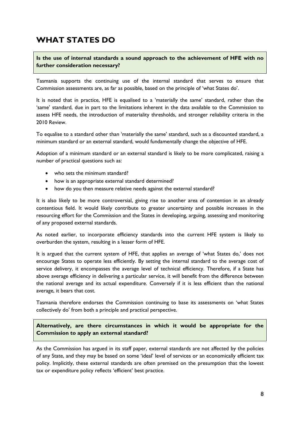# <span id="page-15-0"></span>**WHAT STATES DO**

**Is the use of internal standards a sound approach to the achievement of HFE with no further consideration necessary?**

Tasmania supports the continuing use of the internal standard that serves to ensure that Commission assessments are, as far as possible, based on the principle of 'what States do'.

It is noted that in practice, HFE is equalised to a 'materially the same' standard, rather than the 'same' standard, due in part to the limitations inherent in the data available to the Commission to assess HFE needs, the introduction of materiality thresholds, and stronger reliability criteria in the 2010 Review.

To equalise to a standard other than 'materially the same' standard, such as a discounted standard, a minimum standard or an external standard, would fundamentally change the objective of HFE.

Adoption of a minimum standard or an external standard is likely to be more complicated, raising a number of practical questions such as:

- who sets the minimum standard?
- how is an appropriate external standard determined?
- how do you then measure relative needs against the external standard?

It is also likely to be more controversial, giving rise to another area of contention in an already contentious field. It would likely contribute to greater uncertainty and possible increases in the resourcing effort for the Commission and the States in developing, arguing, assessing and monitoring of any proposed external standards.

As noted earlier, to incorporate efficiency standards into the current HFE system is likely to overburden the system, resulting in a lesser form of HFE.

It is argued that the current system of HFE, that applies an average of 'what States do,' does not encourage States to operate less efficiently. By setting the internal standard to the average cost of service delivery, it encompasses the average level of technical efficiency. Therefore, if a State has above average efficiency in delivering a particular service, it will benefit from the difference between the national average and its actual expenditure. Conversely if it is less efficient than the national average, it bears that cost.

Tasmania therefore endorses the Commission continuing to base its assessments on 'what States collectively do' from both a principle and practical perspective.

**Alternatively, are there circumstances in which it would be appropriate for the Commission to apply an external standard?**

As the Commission has argued in its staff paper, external standards are not affected by the policies of any State, and they may be based on some 'ideal' level of services or an economically efficient tax policy. Implicitly, these external standards are often premised on the presumption that the lowest tax or expenditure policy reflects 'efficient' best practice.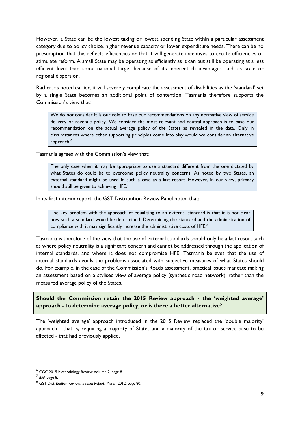However, a State can be the lowest taxing or lowest spending State within a particular assessment category due to policy choice, higher revenue capacity or lower expenditure needs. There can be no presumption that this reflects efficiencies or that it will generate incentives to create efficiencies or stimulate reform. A small State may be operating as efficiently as it can but still be operating at a less efficient level than some national target because of its inherent disadvantages such as scale or regional dispersion.

Rather, as noted earlier, it will severely complicate the assessment of disabilities as the 'standard' set by a single State becomes an additional point of contention. Tasmania therefore supports the Commission's view that*:*

We do not consider it is our role to base our recommendations on any normative view of service delivery or revenue policy. We consider the most relevant and neutral approach is to base our recommendation on the actual average policy of the States as revealed in the data. Only in circumstances where other supporting principles come into play would we consider an alternative approach. 6

Tasmania agrees with the Commission's view that:

The only case when it may be appropriate to use a standard different from the one dictated by what States do could be to overcome policy neutrality concerns. As noted by two States, an external standard might be used in such a case as a last resort. However, in our view, primacy should still be given to achieving  $\sf{HFE."}$ 

In its first interim report, the GST Distribution Review Panel noted that:

The key problem with the approach of equalising to an external standard is that it is not clear how such a standard would be determined. Determining the standard and the administration of compliance with it may significantly increase the administrative costs of HFE.<sup>8</sup>

Tasmania is therefore of the view that the use of external standards should only be a last resort such as where policy neutrality is a significant concern and cannot be addressed through the application of internal standards, and where it does not compromise HFE. Tasmania believes that the use of internal standards avoids the problems associated with subjective measures of what States should do. For example, in the case of the Commission's Roads assessment, practical issues mandate making an assessment based on a stylised view of average policy (synthetic road network), rather than the measured average policy of the States.

**Should the Commission retain the 2015 Review approach - the 'weighted average' approach - to determine average policy, or is there a better alternative?**

The 'weighted average' approach introduced in the 2015 Review replaced the 'double majority' approach - that is, requiring a majority of States and a majority of the tax or service base to be affected - that had previously applied.

<u>.</u>

<sup>6</sup> CGC 2015 Methodology Review Volume 2, page 8.

<sup>7</sup> *Ibid,* page 8.

<sup>8</sup> GST Distribution Review, *Interim Report*, March 2012, page 80.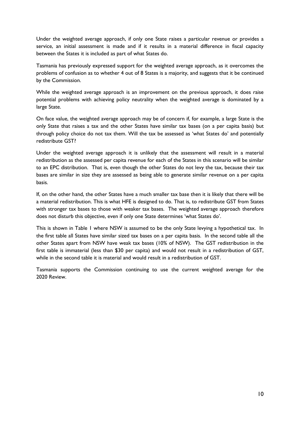Under the weighted average approach, if only one State raises a particular revenue or provides a service, an initial assessment is made and if it results in a material difference in fiscal capacity between the States it is included as part of what States do.

Tasmania has previously expressed support for the weighted average approach, as it overcomes the problems of confusion as to whether 4 out of 8 States is a majority, and suggests that it be continued by the Commission.

While the weighted average approach is an improvement on the previous approach, it does raise potential problems with achieving policy neutrality when the weighted average is dominated by a large State.

On face value, the weighted average approach may be of concern if, for example, a large State is the only State that raises a tax and the other States have similar tax bases (on a per capita basis) but through policy choice do not tax them. Will the tax be assessed as 'what States do' and potentially redistribute GST?

Under the weighted average approach it is unlikely that the assessment will result in a material redistribution as the assessed per capita revenue for each of the States in this scenario will be similar to an EPC distribution. That is, even though the other States do not levy the tax, because their tax bases are similar in size they are assessed as being able to generate similar revenue on a per capita basis.

If, on the other hand, the other States have a much smaller tax base then it is likely that there will be a material redistribution. This is what HFE is designed to do. That is, to redistribute GST from States with stronger tax bases to those with weaker tax bases. The weighted average approach therefore does not disturb this objective, even if only one State determines 'what States do'.

This is shown in Table 1 where NSW is assumed to be the only State levying a hypothetical tax. In the first table all States have similar sized tax bases on a per capita basis. In the second table all the other States apart from NSW have weak tax bases (10% of NSW). The GST redistribution in the first table is immaterial (less than \$30 per capita) and would not result in a redistribution of GST, while in the second table it is material and would result in a redistribution of GST.

Tasmania supports the Commission continuing to use the current weighted average for the 2020 Review.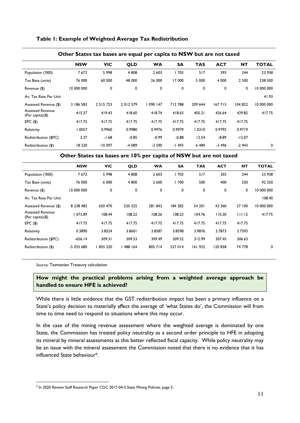#### **Table 1: Example of Weighted Average Tax Redistribution**

| .<br>.                                         |            |               |            |           |           |            |            |           |              |
|------------------------------------------------|------------|---------------|------------|-----------|-----------|------------|------------|-----------|--------------|
|                                                | <b>NSW</b> | <b>VIC</b>    | <b>QLD</b> | <b>WA</b> | <b>SA</b> | <b>TAS</b> | <b>ACT</b> | <b>NT</b> | <b>TOTAL</b> |
| Population ('000)                              | 7672       | 5998          | 4 8 0 8    | 2 6 0 3   | 1703      | 517        | 393        | 244       | 23 938       |
| Tax Base (units)                               | 76 000     | 60 000        | 48 000     | 26 000    | 17 000    | 5 0 0 0    | 4 0 0 0    | 2 5 0 0   | 238 500      |
| Revenue (\$)                                   | 10 000 000 | 0             | 0          | 0         | 0         | 0          | 0          | 0         | 10 000 000   |
| Av. Tax Rate Per Unit                          |            |               |            |           |           |            |            |           | 41.93        |
| Assessed Revenue (\$)                          | 3 186 583  | 2 5 1 5 7 2 3 | 2012579    | 090147    | 712788    | 209 644    | 167 715    | 104 822   | 10 000 000   |
| <b>Assessed Revenue</b><br>(Per capita) $(\$)$ | 415.37     | 419.43        | 418.60     | 418.74    | 418.63    | 405.21     | 426.64     | 429.82    | 417.75       |
| $EPC($ \$)                                     | 417.75     | 417.75        | 417.75     | 417.75    | 417.75    | 417.75     | 417.75     | 417.75    |              |
| Relativity                                     | 1.0057     | 0.9960        | 0.9980     | 0.9976    | 0.9979    | 1.0310     | 0.9792     | 0.9719    |              |
| Redistribution (\$PC)                          | 2.37       | $-1.68$       | $-0.85$    | $-0.99$   | $-0.88$   | 12.54      | $-8.89$    | $-12.07$  |              |
| Redistribution (\$)                            | 18 2 20    | $-10097$      | -4 089     | $-2590$   | -1493     | 6489       | $-3496$    | $-2943$   | 0            |

#### **Other States tax bases are equal per capita to NSW but are not taxed**

**Other States tax bases are 10% per capita of NSW but are not taxed**

|                                                | <b>NSW</b>    | <b>VIC</b> | <b>QLD</b> | <b>WA</b> | <b>SA</b> | <b>TAS</b> | <b>ACT</b> | <b>NT</b> | <b>TOTAL</b> |
|------------------------------------------------|---------------|------------|------------|-----------|-----------|------------|------------|-----------|--------------|
| Population ('000)                              | 7672          | 5998       | 4 8 0 8    | 2 603     | 703       | 517        | 303        | 244       | 23 938       |
| Tax Base (units)                               | 76 000        | 6 0 0 0    | 4 800      | 2 600     | 700       | 500        | 400        | 250       | 92 250       |
| Revenue (\$)                                   | 10 000 000    | 0          | 0          | 0         | 0         | 0          | 0          | 0         | 10 000 000   |
| Av. Tax Rate Per Unit                          |               |            |            |           |           |            |            |           | 108.40       |
| Assessed Revenue (\$)                          | 8 2 3 8 4 8 2 | 650 470    | 520 325    | 281843    | 184 282   | 54 201     | 43 360     | 27 100    | 10 000 000   |
| <b>Assessed Revenue</b><br>(Per capita) $(\$)$ | 073.89        | 108.44     | 108.22     | 108.26    | 108.23    | 104.76     | 110.30     | 111.12    | 417.75       |
| $EPC($ \$)                                     | 417.75        | 417.75     | 417.75     | 417.75    | 417.75    | 417.75     | 417.75     | 417.75    |              |
| Relativity                                     | 0.3890        | 3.8524     | 3.8601     | 3.8587    | 3.8598    | 3.9876     | 3.7873     | 3.7593    |              |
| Redistribution (\$PC)                          | $-656.14$     | 309.31     | 309.53     | 309.49    | 309.52    | 312.99     | 307.45     | 306.63    |              |
| Redistribution (\$)                            | -5 033 680    | 855 220    | 488 164    | 805 714   | 527 014   | 161932     | 120858     | 74 778    | 0            |

Source: Tasmanian Treasury calculation

1

### **How might the practical problems arising from a weighted average approach be handled to ensure HFE is achieved?**

While there is little evidence that the GST redistribution impact has been a primary influence on a State's policy decision to materially affect the average of 'what States do', the Commission will from time to time need to respond to situations where this may occur.

In the case of the mining revenue assessment where the weighted average is dominated by one State, the Commission has treated policy neutrality as a second order principle to HFE in adopting its mineral by mineral assessments as this better reflected fiscal capacity. While policy neutrality may be an issue with the mineral assessment the Commission noted that there is no evidence that it has influenced State behaviour9.

<sup>&</sup>lt;sup>9</sup> In 2020 Review Staff Research Paper CGC 2017-04-S State Mining Policies, page 5.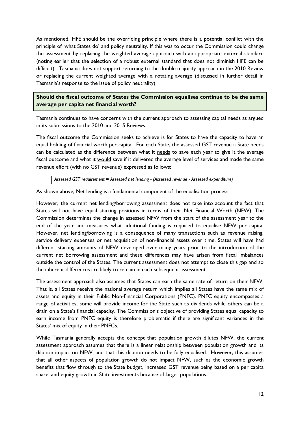As mentioned, HFE should be the overriding principle where there is a potential conflict with the principle of 'what States do' and policy neutrality. If this was to occur the Commission could change the assessment by replacing the weighted average approach with an appropriate external standard (noting earlier that the selection of a robust external standard that does not diminish HFE can be difficult). Tasmania does not support returning to the double majority approach in the 2010 Review or replacing the current weighted average with a rotating average (discussed in further detail in Tasmania's response to the issue of policy neutrality).

**Should the fiscal outcome of States the Commission equalises continue to be the same average per capita net financial worth?**

Tasmania continues to have concerns with the current approach to assessing capital needs as argued in its submissions to the 2010 and 2015 Reviews.

The fiscal outcome the Commission seeks to achieve is for States to have the capacity to have an equal holding of financial worth per capita. For each State, the assessed GST revenue a State needs can be calculated as the difference between what it needs to save each year to give it the average fiscal outcome and what it would save if it delivered the average level of services and made the same revenue effort (with no GST revenue) expressed as follows:

*Assessed GST requirement = Assessed net lending - (Assessed revenue - Assessed expenditure)*

As shown above, Net lending is a fundamental component of the equalisation process.

However, the current net lending/borrowing assessment does not take into account the fact that States will not have equal starting positions in terms of their Net Financial Worth (NFW). The Commission determines the change in assessed NFW from the start of the assessment year to the end of the year and measures what additional funding is required to equalise NFW per capita. However, net lending/borrowing is a consequence of many transactions such as revenue raising, service delivery expenses or net acquisition of non-financial assets over time. States will have had different starting amounts of NFW developed over many years prior to the introduction of the current net borrowing assessment and these differences may have arisen from fiscal imbalances outside the control of the States. The current assessment does not attempt to close this gap and so the inherent differences are likely to remain in each subsequent assessment.

The assessment approach also assumes that States can earn the same rate of return on their NFW. That is, all States receive the national average return which implies all States have the same mix of assets and equity in their Public Non-Financial Corporations (PNFC). PNFC equity encompasses a range of activities; some will provide income for the State such as dividends while others can be a drain on a State's financial capacity. The Commission's objective of providing States equal capacity to earn income from PNFC equity is therefore problematic if there are significant variances in the States' mix of equity in their PNFCs.

While Tasmania generally accepts the concept that population growth dilutes NFW, the current assessment approach assumes that there is a linear relationship between population growth and its dilution impact on NFW, and that this dilution needs to be fully equalised. However, this assumes that all other aspects of population growth do not impact NFW, such as the economic growth benefits that flow through to the State budget, increased GST revenue being based on a per capita share, and equity growth in State investments because of larger populations.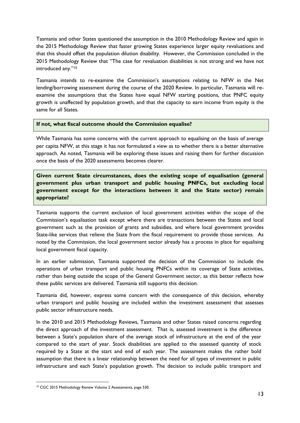Tasmania and other States questioned the assumption in the 2010 Methodology Review and again in the 2015 Methodology Review that faster growing States experience larger equity revaluations and that this should offset the population dilution disability. However, the Commission concluded in the 2015 Methodology Review that "The case for revaluation disabilities is not strong and we have not introduced any."<sup>10</sup>

Tasmania intends to re-examine the Commission's assumptions relating to NFW in the Net lending/borrowing assessment during the course of the 2020 Review. In particular, Tasmania will reexamine the assumptions that the States have equal NFW starting positions, that PNFC equity growth is unaffected by population growth, and that the capacity to earn income from equity is the same for all States.

#### **If not, what fiscal outcome should the Commission equalise?**

While Tasmania has some concerns with the current approach to equalising on the basis of average per capita NFW, at this stage it has not formulated a view as to whether there is a better alternative approach. As noted, Tasmania will be exploring these issues and raising them for further discussion once the basis of the 2020 assessments becomes clearer.

**Given current State circumstances, does the existing scope of equalisation (general government plus urban transport and public housing PNFCs, but excluding local government except for the interactions between it and the State sector) remain appropriate?**

Tasmania supports the current exclusion of local government activities within the scope of the Commission's equalisation task except where there are transactions between the States and local government such as the provision of grants and subsidies, and where local government provides State-like services that relieve the State from the fiscal requirement to provide those services. As noted by the Commission, the local government sector already has a process in place for equalising local government fiscal capacity.

In an earlier submission, Tasmania supported the decision of the Commission to include the operations of urban transport and public housing PNFCs within its coverage of State activities, rather than being outside the scope of the General Government sector, as this better reflects how these public services are delivered. Tasmania still supports this decision.

Tasmania did, however, express some concern with the consequence of this decision, whereby urban transport and public housing are included within the investment assessment that assesses public sector infrastructure needs.

In the 2010 and 2015 Methodology Reviews, Tasmania and other States raised concerns regarding the direct approach of the investment assessment. That is, assessed investment is the difference between a State's population share of the average stock of infrastructure at the end of the year compared to the start of year. Stock disabilities are applied to the assessed quantity of stock required by a State at the start and end of each year. The assessment makes the rather bold assumption that there is a linear relationship between the need for all types of investment in public infrastructure and each State's population growth. The decision to include public transport and

<sup>1</sup> <sup>10</sup> CGC 2015 Methodology Review Volume 2 Assessments, page 530.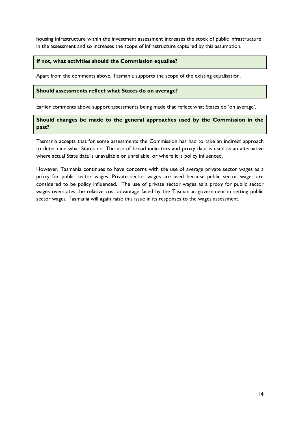housing infrastructure within the investment assessment increases the stock of public infrastructure in the assessment and so increases the scope of infrastructure captured by this assumption.

### **If not, what activities should the Commission equalise?**

Apart from the comments above, Tasmania supports the scope of the existing equalisation.

#### **Should assessments reflect what States do on average?**

Earlier comments above support assessments being made that reflect what States do 'on average'.

### **Should changes be made to the general approaches used by the Commission in the past?**

Tasmania accepts that for some assessments the Commission has had to take an indirect approach to determine what States do. The use of broad indicators and proxy data is used as an alternative where actual State data is unavailable or unreliable, or where it is policy influenced.

However, Tasmania continues to have concerns with the use of average private sector wages as a proxy for public sector wages. Private sector wages are used because public sector wages are considered to be policy influenced. The use of private sector wages as a proxy for public sector wages overstates the relative cost advantage faced by the Tasmanian government in setting public sector wages. Tasmania will again raise this issue in its responses to the wages assessment.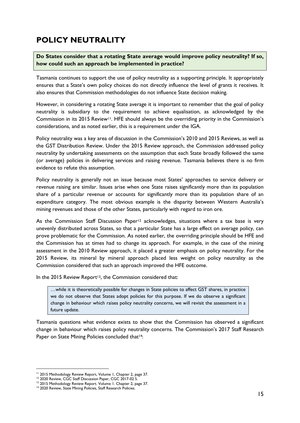# <span id="page-22-0"></span>**POLICY NEUTRALITY**

**Do States consider that a rotating State average would improve policy neutrality? If so, how could such an approach be implemented in practice?**

Tasmania continues to support the use of policy neutrality as a supporting principle. It appropriately ensures that a State's own policy choices do not directly influence the level of grants it receives. It also ensures that Commission methodologies do not influence State decision making.

However, in considering a rotating State average it is important to remember that the goal of policy neutrality is subsidiary to the requirement to achieve equalisation, as acknowledged by the Commission in its 2015 Review<sup>11</sup>. HFE should always be the overriding priority in the Commission's considerations, and as noted earlier, this is a requirement under the IGA.

Policy neutrality was a key area of discussion in the Commission's 2010 and 2015 Reviews, as well as the GST Distribution Review. Under the 2015 Review approach, the Commission addressed policy neutrality by undertaking assessments on the assumption that each State broadly followed the same (or average) policies in delivering services and raising revenue. Tasmania believes there is no firm evidence to refute this assumption.

Policy neutrality is generally not an issue because most States' approaches to service delivery or revenue raising are similar. Issues arise when one State raises significantly more than its population share of a particular revenue or accounts for significantly more than its population share of an expenditure category. The most obvious example is the disparity between Western Australia's mining revenues and those of the other States, particularly with regard to iron ore.

As the Commission Staff Discussion Paper<sup>12</sup> acknowledges, situations where a tax base is very unevenly distributed across States, so that a particular State has a large effect on average policy, can prove problematic for the Commission. As noted earlier, the overriding principle should be HFE and the Commission has at times had to change its approach. For example, in the case of the mining assessment in the 2010 Review approach, it placed a greater emphasis on policy neutrality. For the 2015 Review, its mineral by mineral approach placed less weight on policy neutrality as the Commission considered that such an approach improved the HFE outcome.

In the 2015 Review Report<sup>13</sup>, the Commission considered that:

…while it is theoretically possible for changes in State policies to affect GST shares, in practice we do not observe that States adopt policies for this purpose. If we do observe a significant change in behaviour which raises policy neutrality concerns, we will revisit the assessment in a future update.

Tasmania questions what evidence exists to show that the Commission has observed a significant change in behaviour which raises policy neutrality concerns. The Commission's 2017 Staff Research Paper on State Mining Policies concluded that<sup>14</sup>:

<u>.</u>

<sup>&</sup>lt;sup>11</sup> 2015 Methodology Review Report, Volume 1, Chapter 2, page 37.

<sup>&</sup>lt;sup>12</sup> 2020 Review, CGC Staff Discussion Paper, CGC 2017-02 S.

<sup>&</sup>lt;sup>13</sup> 2015 Methodology Review Report. Volume 1. Chapter 2, page 37.

<sup>&</sup>lt;sup>14</sup> 2020 Review, State Mining Policies, Staff Research Policies.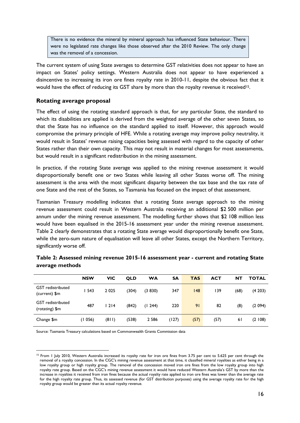There is no evidence the mineral by mineral approach has influenced State behaviour. There were no legislated rate changes like those observed after the 2010 Review. The only change was the removal of a concession.

The current system of using State averages to determine GST relativities does not appear to have an impact on States' policy settings. Western Australia does not appear to have experienced a disincentive to increasing its iron ore fines royalty rate in 2010-11, despite the obvious fact that it would have the effect of reducing its GST share by more than the royalty revenue it received<sup>15</sup>.

### **Rotating average proposal**

The effect of using the rotating standard approach is that, for any particular State, the standard to which its disabilities are applied is derived from the weighted average of the other seven States, so that the State has no influence on the standard applied to itself. However, this approach would compromise the primary principle of HFE. While a rotating average may improve policy neutrality, it would result in States' revenue raising capacities being assessed with regard to the capacity of other States rather than their own capacity. This may not result in material changes for most assessments, but would result in a significant redistribution in the mining assessment.

In practice, if the rotating State average was applied to the mining revenue assessment it would disproportionally benefit one or two States while leaving all other States worse off. The mining assessment is the area with the most significant disparity between the tax base and the tax rate of one State and the rest of the States, so Tasmania has focused on the impact of that assessment.

Tasmanian Treasury modelling indicates that a rotating State average approach to the mining revenue assessment could result in Western Australia receiving an additional \$2 500 million per annum under the mining revenue assessment. The modelling further shows that \$2 108 million less would have been equalised in the 2015-16 assessment year under the mining revenue assessment. Table 2 clearly demonstrates that a rotating State average would disproportionally benefit one State, while the zero-sum nature of equalisation will leave all other States, except the Northern Territory, significantly worse off.

|                                            | <b>NSW</b> | <b>VIC</b> | <b>QLD</b> | WA      | SΑ    | <b>TAS</b> | ACT  | ΝT   | <b>TOTAL</b> |
|--------------------------------------------|------------|------------|------------|---------|-------|------------|------|------|--------------|
| <b>GST</b> redistributed<br>(current) \$m  | 543        | 2 0 2 5    | (304)      | (3 830) | 347   | 148        | 139  | (68) | (4203)       |
| <b>GST</b> redistributed<br>(rotating) \$m | 487        | 1214       | (842)      | (1244)  | 220   | 91         | 82   | (8)  | (2.094)      |
| Change \$m                                 | (1056)     | (811)      | (538)      | 2 5 8 6 | (127) | (57)       | (57) | 6 I  | (2108)       |

| Table 2: Assessed mining revenue 2015-16 assessment year - current and rotating State |  |
|---------------------------------------------------------------------------------------|--|
| average methods                                                                       |  |

Source: Tasmania Treasury calculations based on Commonwealth Grants Commission data

1

<sup>&</sup>lt;sup>15</sup> From 1 July 2010, Western Australia increased its royalty rate for iron ore fines from 3.75 per cent to 5.625 per cent through the removal of a royalty concession. In the CGC's mining revenue assessment at that time, it classified mineral royalties as either being in a low royalty group or high royalty group. The removal of the concession moved iron ore fines from the low royalty group into high royalty rate group. Based on the CGC's mining revenue assessment it would have reduced Western Australia's GST by more than the increase in royalties it received from iron fines because the actual royalty rate applied to iron ore fines was lower than the average rate for the high royalty rate group. Thus, its assessed revenue (for GST distribution purposes) using the average royalty rate for the high royalty group would be greater than its actual royalty revenue.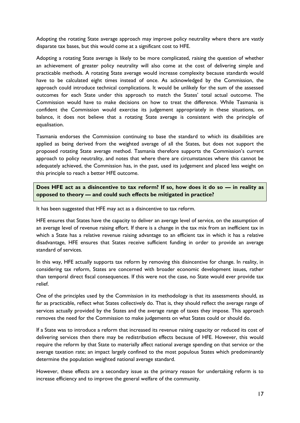Adopting the rotating State average approach may improve policy neutrality where there are vastly disparate tax bases, but this would come at a significant cost to HFE.

Adopting a rotating State average is likely to be more complicated, raising the question of whether an achievement of greater policy neutrality will also come at the cost of delivering simple and practicable methods. A rotating State average would increase complexity because standards would have to be calculated eight times instead of once. As acknowledged by the Commission, the approach could introduce technical complications. It would be unlikely for the sum of the assessed outcomes for each State under this approach to match the States' total actual outcome. The Commission would have to make decisions on how to treat the difference. While Tasmania is confident the Commission would exercise its judgement appropriately in these situations, on balance, it does not believe that a rotating State average is consistent with the principle of equalisation.

Tasmania endorses the Commission continuing to base the standard to which its disabilities are applied as being derived from the weighted average of all the States, but does not support the proposed rotating State average method. Tasmania therefore supports the Commission's current approach to policy neutrality, and notes that where there are circumstances where this cannot be adequately achieved, the Commission has, in the past, used its judgement and placed less weight on this principle to reach a better HFE outcome.

**Does HFE act as a disincentive to tax reform? If so, how does it do so — in reality as opposed to theory — and could such effects be mitigated in practice?**

It has been suggested that HFE may act as a disincentive to tax reform.

HFE ensures that States have the capacity to deliver an average level of service, on the assumption of an average level of revenue raising effort. If there is a change in the tax mix from an inefficient tax in which a State has a relative revenue raising advantage to an efficient tax in which it has a relative disadvantage, HFE ensures that States receive sufficient funding in order to provide an average standard of services.

In this way, HFE actually supports tax reform by removing this disincentive for change. In reality, in considering tax reform, States are concerned with broader economic development issues, rather than temporal direct fiscal consequences. If this were not the case, no State would ever provide tax relief.

One of the principles used by the Commission in its methodology is that its assessments should, as far as practicable, reflect what States collectively do. That is, they should reflect the average range of services actually provided by the States and the average range of taxes they impose. This approach removes the need for the Commission to make judgements on what States could or should do.

If a State was to introduce a reform that increased its revenue raising capacity or reduced its cost of delivering services then there may be redistribution effects because of HFE. However, this would require the reform by that State to materially affect national average spending on that service or the average taxation rate; an impact largely confined to the most populous States which predominantly determine the population weighted national average standard.

However, these effects are a secondary issue as the primary reason for undertaking reform is to increase efficiency and to improve the general welfare of the community.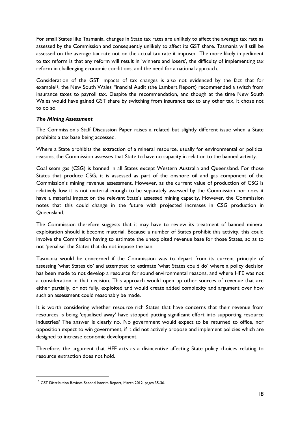For small States like Tasmania, changes in State tax rates are unlikely to affect the average tax rate as assessed by the Commission and consequently unlikely to affect its GST share. Tasmania will still be assessed on the average tax rate not on the actual tax rate it imposed. The more likely impediment to tax reform is that any reform will result in 'winners and losers', the difficulty of implementing tax reform in challenging economic conditions, and the need for a national approach.

Consideration of the GST impacts of tax changes is also not evidenced by the fact that for example16, the New South Wales Financial Audit (the Lambert Report) recommended a switch from insurance taxes to payroll tax. Despite the recommendation, and though at the time New South Wales would have gained GST share by switching from insurance tax to any other tax, it chose not to do so.

### *The Mining Assessment*

The Commission's Staff Discussion Paper raises a related but slightly different issue when a State prohibits a tax base being accessed.

Where a State prohibits the extraction of a mineral resource, usually for environmental or political reasons, the Commission assesses that State to have no capacity in relation to the banned activity.

Coal seam gas (CSG) is banned in all States except Western Australia and Queensland. For those States that produce CSG, it is assessed as part of the onshore oil and gas component of the Commission's mining revenue assessment. However, as the current value of production of CSG is relatively low it is not material enough to be separately assessed by the Commission nor does it have a material impact on the relevant State's assessed mining capacity. However, the Commission notes that this could change in the future with projected increases in CSG production in Queensland.

The Commission therefore suggests that it may have to review its treatment of banned mineral exploitation should it become material. Because a number of States prohibit this activity, this could involve the Commission having to estimate the unexploited revenue base for those States, so as to not 'penalise' the States that do not impose the ban.

Tasmania would be concerned if the Commission was to depart from its current principle of assessing 'what States do' and attempted to estimate 'what States could do' where a policy decision has been made to not develop a resource for sound environmental reasons, and where HFE was not a consideration in that decision. This approach would open up other sources of revenue that are either partially, or not fully, exploited and would create added complexity and argument over how such an assessment could reasonably be made.

It is worth considering whether resource rich States that have concerns that their revenue from resources is being 'equalised away' have stopped putting significant effort into supporting resource industries? The answer is clearly no. No government would expect to be returned to office, nor opposition expect to win government, if it did not actively propose and implement policies which are designed to increase economic development.

Therefore, the argument that HFE acts as a disincentive affecting State policy choices relating to resource extraction does not hold.

1

<sup>&</sup>lt;sup>16</sup> GST Distribution Review, Second Interim Report, March 2012, pages 35-36.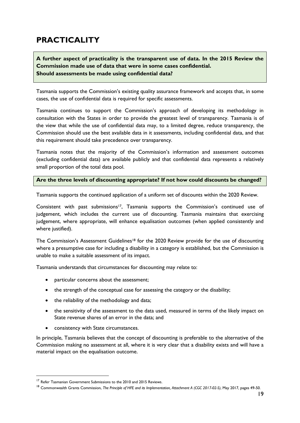# <span id="page-26-0"></span>**PRACTICALITY**

# **A further aspect of practicality is the transparent use of data. In the 2015 Review the Commission made use of data that were in some cases confidential. Should assessments be made using confidential data?**

Tasmania supports the Commission's existing quality assurance framework and accepts that, in some cases, the use of confidential data is required for specific assessments.

Tasmania continues to support the Commission's approach of developing its methodology in consultation with the States in order to provide the greatest level of transparency. Tasmania is of the view that while the use of confidential data may, to a limited degree, reduce transparency, the Commission should use the best available data in it assessments, including confidential data, and that this requirement should take precedence over transparency.

Tasmania notes that the majority of the Commission's information and assessment outcomes (excluding confidential data) are available publicly and that confidential data represents a relatively small proportion of the total data pool.

### **Are the three levels of discounting appropriate? If not how could discounts be changed?**

Tasmania supports the continued application of a uniform set of discounts within the 2020 Review.

Consistent with past submissions<sup>17</sup>, Tasmania supports the Commission's continued use of judgement, which includes the current use of discounting. Tasmania maintains that exercising judgement, where appropriate, will enhance equalisation outcomes (when applied consistently and where justified).

The Commission's Assessment Guidelines<sup>18</sup> for the 2020 Review provide for the use of discounting where a presumptive case for including a disability in a category is established, but the Commission is unable to make a suitable assessment of its impact.

Tasmania understands that circumstances for discounting may relate to:

- particular concerns about the assessment;
- the strength of the conceptual case for assessing the category or the disability;
- the reliability of the methodology and data:
- the sensitivity of the assessment to the data used, measured in terms of the likely impact on State revenue shares of an error in the data; and
- consistency with State circumstances.

In principle, Tasmania believes that the concept of discounting is preferable to the alternative of the Commission making no assessment at all, where it is very clear that a disability exists and will have a material impact on the equalisation outcome.

<u>.</u>

<sup>&</sup>lt;sup>17</sup> Refer Tasmanian Government Submissions to the 2010 and 2015 Reviews.

<sup>18</sup> Commonwealth Grants Commission, *The Principle of HFE and its Implementation, Attachment A (CGC 2017-02-S)*, May 2017, pages 49-50.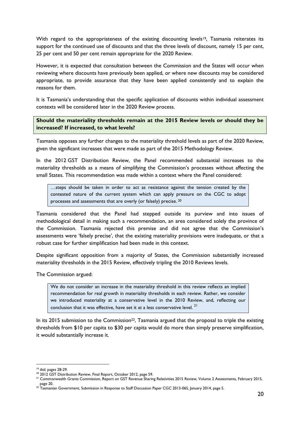With regard to the appropriateness of the existing discounting levels<sup>19</sup>, Tasmania reiterates its support for the continued use of discounts and that the three levels of discount, namely 15 per cent, 25 per cent and 50 per cent remain appropriate for the 2020 Review.

However, it is expected that consultation between the Commission and the States will occur when reviewing where discounts have previously been applied, or where new discounts may be considered appropriate, to provide assurance that they have been applied consistently and to explain the reasons for them.

It is Tasmania's understanding that the specific application of discounts within individual assessment contexts will be considered later in the 2020 Review process.

**Should the materiality thresholds remain at the 2015 Review levels or should they be increased? If increased, to what levels?**

Tasmania opposes any further changes to the materiality threshold levels as part of the 2020 Review, given the significant increases that were made as part of the 2015 Methodology Review.

In the 2012 GST Distribution Review, the Panel recommended substantial increases to the materiality thresholds as a means of simplifying the Commission's processes without affecting the small States. This recommendation was made within a context where the Panel considered:

…steps should be taken in order to act as resistance against the tension created by the contested nature of the current system which can apply pressure on the CGC to adopt processes and assessments that are overly (or falsely) precise. 20

Tasmania considered that the Panel had stepped outside its purview and into issues of methodological detail in making such a recommendation, an area considered solely the province of the Commission. Tasmania rejected this premise and did not agree that the Commission's assessments were 'falsely precise', that the existing materiality provisions were inadequate, or that a robust case for further simplification had been made in this context.

Despite significant opposition from a majority of States, the Commission substantially increased materiality thresholds in the 2015 Review, effectively tripling the 2010 Reviews levels.

The Commission argued:

We do not consider an increase in the materiality threshold in this review reflects an implied recommendation for real growth in materiality thresholds in each review. Rather, we consider we introduced materiality at a conservative level in the 2010 Review, and, reflecting our conclusion that it was effective, have set it at a less conservative level.<sup>21</sup>

In its 2015 submission to the Commission<sup>22</sup>, Tasmania argued that the proposal to triple the existing thresholds from \$10 per capita to \$30 per capita would do more than simply preserve simplification, it would substantially increase it.

1

<sup>19</sup> *ibid*, pages 28-29.

<sup>&</sup>lt;sup>20</sup> 2012 GST Distribution Review, Final Report, October 2012, page 59.

<sup>&</sup>lt;sup>21</sup> Commonwealth Grants Commission, Report on GST Revenue Sharing Relativities 2015 Review, Volume 2 Assessments, February 2015, page 20.

<sup>22</sup> Tasmanian Government, Submission in Response to Staff Discussion Paper CGC 2013-06S*,* January 2014, page 5.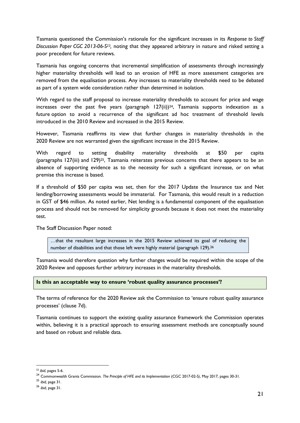Tasmania questioned the Commission's rationale for the significant increases in its *Response to Staff*  Discussion Paper CGC 2013-06-S<sup>23</sup>, noting that they appeared arbitrary in nature and risked setting a poor precedent for future reviews.

Tasmania has ongoing concerns that incremental simplification of assessments through increasingly higher materiality thresholds will lead to an erosion of HFE as more assessment categories are removed from the equalisation process. Any increases to materiality thresholds need to be debated as part of a system wide consideration rather than determined in isolation.

With regard to the staff proposal to increase materiality thresholds to account for price and wage increases over the past five years (paragraph  $127(ii)$ )<sup>24</sup>, Tasmania supports indexation as a future option to avoid a recurrence of the significant ad hoc treatment of threshold levels introduced in the 2010 Review and increased in the 2015 Review.

However, Tasmania reaffirms its view that further changes in materiality thresholds in the 2020 Review are not warranted given the significant increase in the 2015 Review.

With regard to setting disability materiality thresholds at \$50 per capita (paragraphs 127(iii) and 129)25, Tasmania reiterates previous concerns that there appears to be an absence of supporting evidence as to the necessity for such a significant increase, or on what premise this increase is based.

If a threshold of \$50 per capita was set, then for the 2017 Update the Insurance tax and Net lending/borrowing assessments would be immaterial. For Tasmania, this would result in a reduction in GST of \$46 million. As noted earlier, Net lending is a fundamental component of the equalisation process and should not be removed for simplicity grounds because it does not meet the materiality test.

The Staff Discussion Paper noted:

…that the resultant large increases in the 2015 Review achieved its goal of reducing the number of disabilities and that those left were highly material (paragraph 129).<sup>26</sup>

Tasmania would therefore question why further changes would be required within the scope of the 2020 Review and opposes further arbitrary increases in the materiality thresholds.

### **Is this an acceptable way to ensure 'robust quality assurance processes'?**

The terms of reference for the 2020 Review ask the Commission to 'ensure robust quality assurance processes' (clause 7d).

Tasmania continues to support the existing quality assurance framework the Commission operates within, believing it is a practical approach to ensuring assessment methods are conceptually sound and based on robust and reliable data.

<sup>1</sup> <sup>23</sup> *ibid*, pages 5-6.

<sup>24</sup> Commonwealth Grants Commission. *The Principle of HFE and its Implementation* (CGC 2017-02-S*)*, May 2017, pages 30-31.

<sup>25</sup> *ibid,* page 31.

<sup>26</sup> *ibid*, page 31.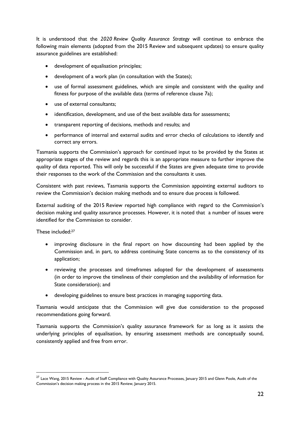It is understood that the *2020 Review Quality Assurance Strategy* will continue to embrace the following main elements (adopted from the 2015 Review and subsequent updates) to ensure quality assurance guidelines are established:

- development of equalisation principles;
- development of a work plan (in consultation with the States);
- use of formal assessment guidelines, which are simple and consistent with the quality and fitness for purpose of the available data (terms of reference clause 7a);
- use of external consultants;
- identification, development, and use of the best available data for assessments;
- transparent reporting of decisions, methods and results; and
- performance of internal and external audits and error checks of calculations to identify and correct any errors.

Tasmania supports the Commission's approach for continued input to be provided by the States at appropriate stages of the review and regards this is an appropriate measure to further improve the quality of data reported. This will only be successful if the States are given adequate time to provide their responses to the work of the Commission and the consultants it uses.

Consistent with past reviews, Tasmania supports the Commission appointing external auditors to review the Commission's decision making methods and to ensure due process is followed.

External auditing of the 2015 Review reported high compliance with regard to the Commission's decision making and quality assurance processes. However, it is noted that a number of issues were identified for the Commission to consider.

These included:<sup>27</sup>

1

- improving disclosure in the final report on how discounting had been applied by the Commission and, in part, to address continuing State concerns as to the consistency of its application;
- reviewing the processes and timeframes adopted for the development of assessments (in order to improve the timeliness of their completion and the availability of information for State consideration); and
- developing guidelines to ensure best practices in managing supporting data.

Tasmania would anticipate that the Commission will give due consideration to the proposed recommendations going forward.

Tasmania supports the Commission's quality assurance framework for as long as it assists the underlying principles of equalisation, by ensuring assessment methods are conceptually sound, consistently applied and free from error.

<sup>27</sup> Lace Wang, 2015 Review - Audit of Staff Compliance with Quality Assurance Processes*,* January 2015 and Glenn Poole, Audit of the Commission's decision making process in the 2015 Review, January 2015.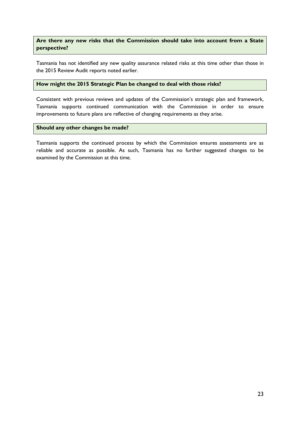### **Are there any new risks that the Commission should take into account from a State perspective?**

Tasmania has not identified any new quality assurance related risks at this time other than those in the 2015 Review Audit reports noted earlier.

#### **How might the 2015 Strategic Plan be changed to deal with those risks?**

Consistent with previous reviews and updates of the Commission's strategic plan and framework, Tasmania supports continued communication with the Commission in order to ensure improvements to future plans are reflective of changing requirements as they arise.

#### **Should any other changes be made?**

Tasmania supports the continued process by which the Commission ensures assessments are as reliable and accurate as possible. As such, Tasmania has no further suggested changes to be examined by the Commission at this time.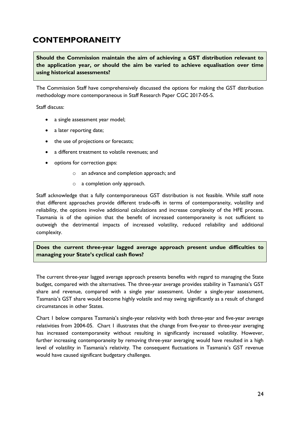# <span id="page-31-0"></span>**CONTEMPORANEITY**

**Should the Commission maintain the aim of achieving a GST distribution relevant to the application year, or should the aim be varied to achieve equalisation over time using historical assessments?**

The Commission Staff have comprehensively discussed the options for making the GST distribution methodology more contemporaneous in Staff Research Paper CGC 2017-05-S.

Staff discuss:

- a single assessment year model;
- a later reporting date;
- the use of projections or forecasts;
- a different treatment to volatile revenues; and
- options for correction gaps:
	- o an advance and completion approach; and
	- o a completion only approach.

Staff acknowledge that a fully contemporaneous GST distribution is not feasible. While staff note that different approaches provide different trade-offs in terms of contemporaneity, volatility and reliability, the options involve additional calculations and increase complexity of the HFE process. Tasmania is of the opinion that the benefit of increased contemporaneity is not sufficient to outweigh the detrimental impacts of increased volatility, reduced reliability and additional complexity.

**Does the current three-year lagged average approach present undue difficulties to managing your State's cyclical cash flows?**

The current three-year lagged average approach presents benefits with regard to managing the State budget, compared with the alternatives. The three-year average provides stability in Tasmania's GST share and revenue, compared with a single year assessment. Under a single-year assessment, Tasmania's GST share would become highly volatile and may swing significantly as a result of changed circumstances in other States.

Chart 1 below compares Tasmania's single-year relativity with both three-year and five-year average relativities from 2004-05. Chart 1 illustrates that the change from five-year to three-year averaging has increased contemporaneity without resulting in significantly increased volatility. However, further increasing contemporaneity by removing three-year averaging would have resulted in a high level of volatility in Tasmania's relativity. The consequent fluctuations in Tasmania's GST revenue would have caused significant budgetary challenges.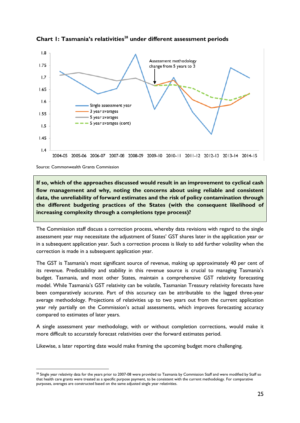

**Chart 1: Tasmania's relativities<sup>28</sup> under different assessment periods**

Source: Commonwealth Grants Commission

1

**If so, which of the approaches discussed would result in an improvement to cyclical cash flow management and why, noting the concerns about using reliable and consistent data, the unreliability of forward estimates and the risk of policy contamination through the different budgeting practices of the States (with the consequent likelihood of increasing complexity through a completions type process)?**

The Commission staff discuss a correction process, whereby data revisions with regard to the single assessment year may necessitate the adjustment of States' GST shares later in the application year or in a subsequent application year. Such a correction process is likely to add further volatility when the correction is made in a subsequent application year.

The GST is Tasmania's most significant source of revenue, making up approximately 40 per cent of its revenue. Predictability and stability in this revenue source is crucial to managing Tasmania's budget. Tasmania, and most other States, maintain a comprehensive GST relativity forecasting model. While Tasmania's GST relativity can be volatile, Tasmanian Treasury relativity forecasts have been comparatively accurate. Part of this accuracy can be attributable to the lagged three-year average methodology. Projections of relativities up to two years out from the current application year rely partially on the Commission's actual assessments, which improves forecasting accuracy compared to estimates of later years.

A single assessment year methodology, with or without completion corrections, would make it more difficult to accurately forecast relativities over the forward estimates period.

Likewise, a later reporting date would make framing the upcoming budget more challenging.

<sup>&</sup>lt;sup>28</sup> Single year relativity data for the years prior to 2007-08 were provided to Tasmania by Commission Staff and were modified by Staff so that health care grants were treated as a specific purpose payment, to be consistent with the current methodology. For comparative purposes, averages are constructed based on the same adjusted single year relativities.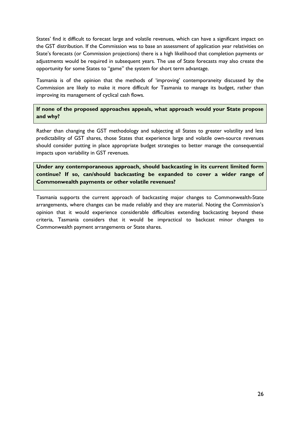States' find it difficult to forecast large and volatile revenues, which can have a significant impact on the GST distribution. If the Commission was to base an assessment of application year relativities on State's forecasts (or Commission projections) there is a high likelihood that completion payments or adjustments would be required in subsequent years. The use of State forecasts may also create the opportunity for some States to "game" the system for short term advantage.

Tasmania is of the opinion that the methods of 'improving' contemporaneity discussed by the Commission are likely to make it more difficult for Tasmania to manage its budget, rather than improving its management of cyclical cash flows.

**If none of the proposed approaches appeals, what approach would your State propose and why?**

Rather than changing the GST methodology and subjecting all States to greater volatility and less predictability of GST shares, those States that experience large and volatile own-source revenues should consider putting in place appropriate budget strategies to better manage the consequential impacts upon variability in GST revenues.

**Under any contemporaneous approach, should backcasting in its current limited form continue? If so, can/should backcasting be expanded to cover a wider range of Commonwealth payments or other volatile revenues?**

Tasmania supports the current approach of backcasting major changes to Commonwealth-State arrangements, where changes can be made reliably and they are material. Noting the Commission's opinion that it would experience considerable difficulties extending backcasting beyond these criteria, Tasmania considers that it would be impractical to backcast minor changes to Commonwealth payment arrangements or State shares.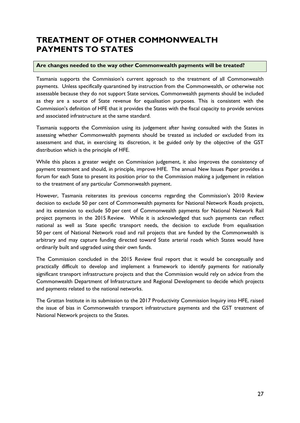# <span id="page-34-0"></span>**TREATMENT OF OTHER COMMONWEALTH PAYMENTS TO STATES**

### **Are changes needed to the way other Commonwealth payments will be treated?**

Tasmania supports the Commission's current approach to the treatment of all Commonwealth payments. Unless specifically quarantined by instruction from the Commonwealth, or otherwise not assessable because they do not support State services, Commonwealth payments should be included as they are a source of State revenue for equalisation purposes. This is consistent with the Commission's definition of HFE that it provides the States with the fiscal capacity to provide services and associated infrastructure at the same standard.

Tasmania supports the Commission using its judgement after having consulted with the States in assessing whether Commonwealth payments should be treated as included or excluded from its assessment and that, in exercising its discretion, it be guided only by the objective of the GST distribution which is the principle of HFE.

While this places a greater weight on Commission judgement, it also improves the consistency of payment treatment and should, in principle, improve HFE. The annual New Issues Paper provides a forum for each State to present its position prior to the Commission making a judgement in relation to the treatment of any particular Commonwealth payment.

However, Tasmania reiterates its previous concerns regarding the Commission's 2010 Review decision to exclude 50 per cent of Commonwealth payments for National Network Roads projects, and its extension to exclude 50 per cent of Commonwealth payments for National Network Rail project payments in the 2015 Review. While it is acknowledged that such payments can reflect national as well as State specific transport needs, the decision to exclude from equalisation 50 per cent of National Network road and rail projects that are funded by the Commonwealth is arbitrary and may capture funding directed toward State arterial roads which States would have ordinarily built and upgraded using their own funds.

The Commission concluded in the 2015 Review final report that it would be conceptually and practically difficult to develop and implement a framework to identify payments for nationally significant transport infrastructure projects and that the Commission would rely on advice from the Commonwealth Department of Infrastructure and Regional Development to decide which projects and payments related to the national networks.

The Grattan Institute in its submission to the 2017 Productivity Commission Inquiry into HFE, raised the issue of bias in Commonwealth transport infrastructure payments and the GST treatment of National Network projects to the States.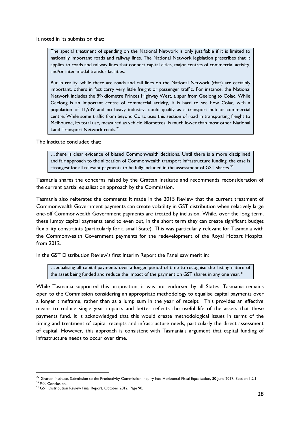It noted in its submission that:

The special treatment of spending on the National Network is only justifiable if it is limited to nationally important roads and railway lines. The National Network legislation prescribes that it applies to roads and railway lines that connect capital cities, major centres of commercial activity, and/or inter-modal transfer facilities.

But in reality, while there are roads and rail lines on the National Network (that) are certainly important, others in fact carry very little freight or passenger traffic. For instance, the National Network includes the 89-kilometre Princes Highway West, a spur from Geelong to Colac. While Geelong is an important centre of commercial activity, it is hard to see how Colac, with a population of 11,939 and no heavy industry, could qualify as a transport hub or commercial centre. While some traffic from beyond Colac uses this section of road in transporting freight to Melbourne, its total use, measured as vehicle kilometres, is much lower than most other National Land Transport Network roads.<sup>29</sup>

The Institute concluded that:

…there is clear evidence of biased Commonwealth decisions. Until there is a more disciplined and fair approach to the allocation of Commonwealth transport infrastructure funding, the case is strongest for all relevant payments to be fully included in the assessment of GST shares.<sup>30</sup>

Tasmania shares the concerns raised by the Grattan Institute and recommends reconsideration of the current partial equalisation approach by the Commission.

Tasmania also reiterates the comments it made in the 2015 Review that the current treatment of Commonwealth Government payments can create volatility in GST distribution when relatively large one-off Commonwealth Government payments are treated by inclusion. While, over the long term, these lumpy capital payments tend to even out, in the short term they can create significant budget flexibility constraints (particularly for a small State). This was particularly relevant for Tasmania with the Commonwealth Government payments for the redevelopment of the Royal Hobart Hospital from 2012.

In the GST Distribution Review's first Interim Report the Panel saw merit in:

…equalising all capital payments over a longer period of time to recognise the lasting nature of the asset being funded and reduce the impact of the payment on GST shares in any one year.  $^{31}$ 

While Tasmania supported this proposition, it was not endorsed by all States. Tasmania remains open to the Commission considering an appropriate methodology to equalise capital payments over a longer timeframe, rather than as a lump sum in the year of receipt. This provides an effective means to reduce single year impacts and better reflects the useful life of the assets that these payments fund. It is acknowledged that this would create methodological issues in terms of the timing and treatment of capital receipts and infrastructure needs, particularly the direct assessment of capital. However, this approach is consistent with Tasmania's argument that capital funding of infrastructure needs to occur over time.

1

<sup>&</sup>lt;sup>29</sup> Grattan Institute, Submission to the Productivity Commission Inquiry into Horizontal Fiscal Equalisation, 30 June 2017. Section 1.2.1.

<sup>30</sup> *ibid*. Conclusion.

<sup>&</sup>lt;sup>31</sup> GST Distribution Review Final Report, October 2012. Page 90.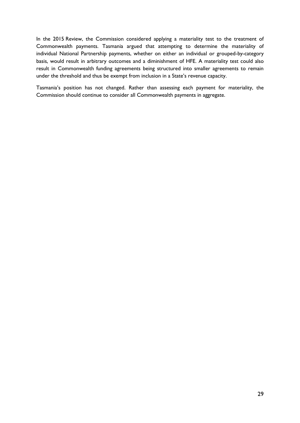In the 2015 Review, the Commission considered applying a materiality test to the treatment of Commonwealth payments. Tasmania argued that attempting to determine the materiality of individual National Partnership payments, whether on either an individual or grouped-by-category basis, would result in arbitrary outcomes and a diminishment of HFE. A materiality test could also result in Commonwealth funding agreements being structured into smaller agreements to remain under the threshold and thus be exempt from inclusion in a State's revenue capacity.

Tasmania's position has not changed. Rather than assessing each payment for materiality, the Commission should continue to consider all Commonwealth payments in aggregate.